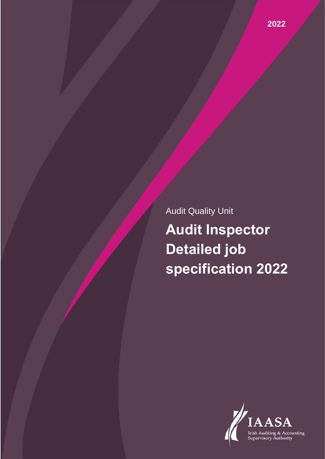Audit Quality Unit **Audit Inspector Detailed job specification 2022**

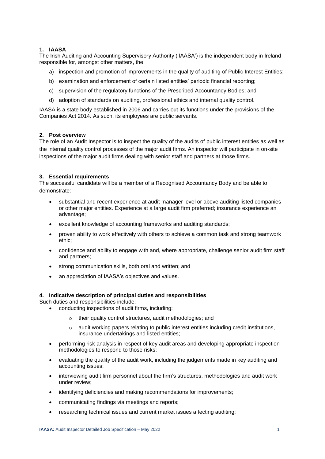# **1. IAASA**

The Irish Auditing and Accounting Supervisory Authority ('IAASA') is the independent body in Ireland responsible for, amongst other matters, the:

- a) inspection and promotion of improvements in the quality of auditing of Public Interest Entities;
- b) examination and enforcement of certain listed entities' periodic financial reporting;
- c) supervision of the regulatory functions of the Prescribed Accountancy Bodies; and
- d) adoption of standards on auditing, professional ethics and internal quality control.

IAASA is a state body established in 2006 and carries out its functions under the provisions of the Companies Act 2014. As such, its employees are public servants.

### **2. Post overview**

The role of an Audit Inspector is to inspect the quality of the audits of public interest entities as well as the internal quality control processes of the major audit firms. An inspector will participate in on-site inspections of the major audit firms dealing with senior staff and partners at those firms.

# **3. Essential requirements**

The successful candidate will be a member of a Recognised Accountancy Body and be able to demonstrate:

- substantial and recent experience at audit manager level or above auditing listed companies or other major entities. Experience at a large audit firm preferred; insurance experience an advantage;
- excellent knowledge of accounting frameworks and auditing standards;
- proven ability to work effectively with others to achieve a common task and strong teamwork ethic;
- confidence and ability to engage with and, where appropriate, challenge senior audit firm staff and partners;
- strong communication skills, both oral and written; and
- an appreciation of IAASA's objectives and values.

#### **4. Indicative description of principal duties and responsibilities**

Such duties and responsibilities include:

- conducting inspections of audit firms, including:
	- o their quality control structures, audit methodologies; and
	- $\circ$  audit working papers relating to public interest entities including credit institutions, insurance undertakings and listed entities;
- performing risk analysis in respect of key audit areas and developing appropriate inspection methodologies to respond to those risks;
- evaluating the quality of the audit work, including the judgements made in key auditing and accounting issues;
- interviewing audit firm personnel about the firm's structures, methodologies and audit work under review;
- identifying deficiencies and making recommendations for improvements;
- communicating findings via meetings and reports;
- researching technical issues and current market issues affecting auditing;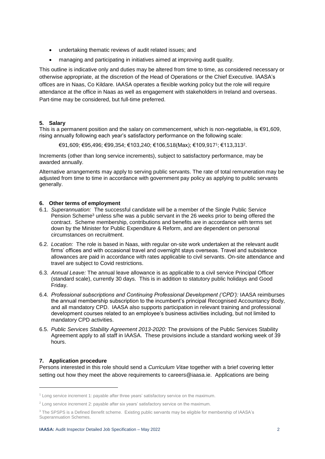- undertaking thematic reviews of audit related issues; and
- managing and participating in initiatives aimed at improving audit quality.

This outline is indicative only and duties may be altered from time to time, as considered necessary or otherwise appropriate, at the discretion of the Head of Operations or the Chief Executive. IAASA's offices are in Naas, Co Kildare. IAASA operates a flexible working policy but the role will require attendance at the office in Naas as well as engagement with stakeholders in Ireland and overseas. Part-time may be considered, but full-time preferred.

### **5. Salary**

This is a permanent position and the salary on commencement, which is non-negotiable, is €91,609, rising annually following each year's satisfactory performance on the following scale:

€91,609; €95,496; €99,354; €103,240; €106,518(Max); €109,917<sup>1</sup> ; €113,313<sup>2</sup> .

Increments (other than long service increments), subject to satisfactory performance, may be awarded annually.

Alternative arrangements may apply to serving public servants. The rate of total remuneration may be adjusted from time to time in accordance with government pay policy as applying to public servants generally.

#### **6. Other terms of employment**

- 6.1. *Superannuation:* The successful candidate will be a member of the Single Public Service Pension Scheme<sup>3</sup> unless s/he was a public servant in the 26 weeks prior to being offered the contract. Scheme membership, contributions and benefits are in accordance with terms set down by the Minister for Public Expenditure & Reform, and are dependent on personal circumstances on recruitment.
- 6.2. *Location:* The role is based in Naas, with regular on-site work undertaken at the relevant audit firms' offices and with occasional travel and overnight stays overseas. Travel and subsistence allowances are paid in accordance with rates applicable to civil servants. On-site attendance and travel are subject to Covid restrictions.
- 6.3. *Annual Leave:* The annual leave allowance is as applicable to a civil service Principal Officer (standard scale), currently 30 days. This is in addition to statutory public holidays and Good Friday.
- 6.4. *Professional subscriptions and Continuing Professional Development ('CPD'):* IAASA reimburses the annual membership subscription to the incumbent's principal Recognised Accountancy Body, and all mandatory CPD. IAASA also supports participation in relevant training and professional development courses related to an employee's business activities including, but not limited to mandatory CPD activities.
- 6.5. *Public Services Stability Agreement 2013-2020:* The provisions of the Public Services Stability Agreement apply to all staff in IAASA. These provisions include a standard working week of 39 hours.

# **7. Application procedure**

-

Persons interested in this role should send a *Curriculum Vitae* together with a brief covering letter setting out how they meet the above requirements to careers@iaasa.ie. Applications are being

<sup>&</sup>lt;sup>1</sup> Long service increment 1: payable after three years' satisfactory service on the maximum.

<sup>&</sup>lt;sup>2</sup> Long service increment 2: payable after six years' satisfactory service on the maximum.

<sup>&</sup>lt;sup>3</sup> The SPSPS is a Defined Benefit scheme. Existing public servants may be eligible for membership of IAASA's Superannuation Schemes.